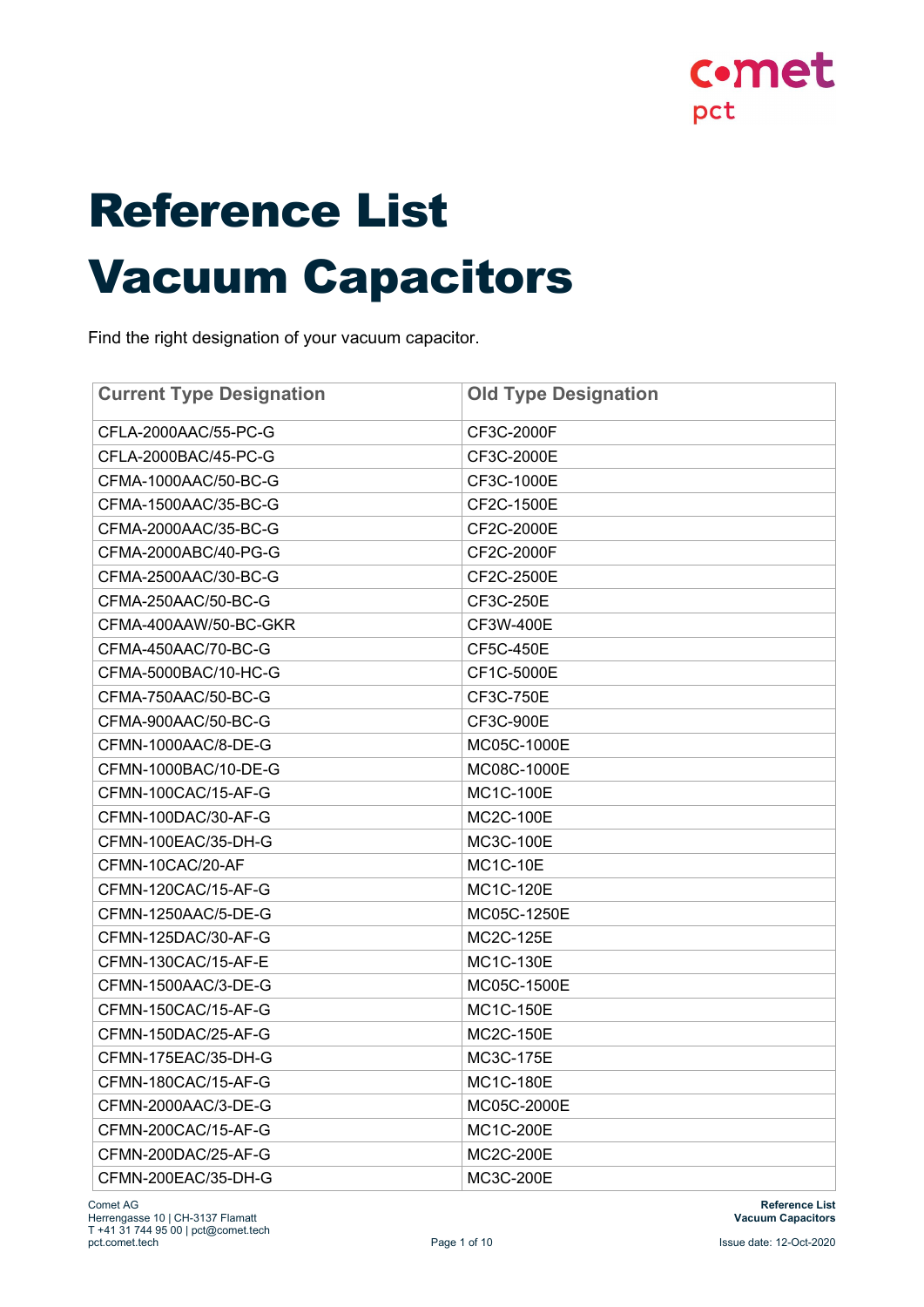

# Reference List Vacuum Capacitors

Find the right designation of your vacuum capacitor.

| <b>Current Type Designation</b> | <b>Old Type Designation</b> |
|---------------------------------|-----------------------------|
| CFLA-2000AAC/55-PC-G            | CF3C-2000F                  |
| CFLA-2000BAC/45-PC-G            | CF3C-2000E                  |
| CFMA-1000AAC/50-BC-G            | CF3C-1000E                  |
| CFMA-1500AAC/35-BC-G            | CF2C-1500E                  |
| CFMA-2000AAC/35-BC-G            | CF2C-2000E                  |
| CFMA-2000ABC/40-PG-G            | CF2C-2000F                  |
| CFMA-2500AAC/30-BC-G            | CF2C-2500E                  |
| CFMA-250AAC/50-BC-G             | CF3C-250E                   |
| CFMA-400AAW/50-BC-GKR           | CF3W-400E                   |
| CFMA-450AAC/70-BC-G             | CF5C-450E                   |
| CFMA-5000BAC/10-HC-G            | CF1C-5000E                  |
| CFMA-750AAC/50-BC-G             | CF3C-750E                   |
| CFMA-900AAC/50-BC-G             | CF3C-900E                   |
| CFMN-1000AAC/8-DE-G             | MC05C-1000E                 |
| CFMN-1000BAC/10-DE-G            | MC08C-1000E                 |
| CFMN-100CAC/15-AF-G             | MC1C-100E                   |
| CFMN-100DAC/30-AF-G             | <b>MC2C-100E</b>            |
| CFMN-100EAC/35-DH-G             | MC3C-100E                   |
| CFMN-10CAC/20-AF                | <b>MC1C-10E</b>             |
| CFMN-120CAC/15-AF-G             | MC1C-120E                   |
| CFMN-1250AAC/5-DE-G             | MC05C-1250E                 |
| CFMN-125DAC/30-AF-G             | MC2C-125E                   |
| CFMN-130CAC/15-AF-E             | MC1C-130E                   |
| CFMN-1500AAC/3-DE-G             | MC05C-1500E                 |
| CFMN-150CAC/15-AF-G             | <b>MC1C-150E</b>            |
| CFMN-150DAC/25-AF-G             | MC2C-150E                   |
| CFMN-175EAC/35-DH-G             | MC3C-175E                   |
| CFMN-180CAC/15-AF-G             | <b>MC1C-180E</b>            |
| CFMN-2000AAC/3-DE-G             | MC05C-2000E                 |
| CFMN-200CAC/15-AF-G             | MC1C-200E                   |
| CFMN-200DAC/25-AF-G             | MC2C-200E                   |
| CFMN-200EAC/35-DH-G             | MC3C-200E                   |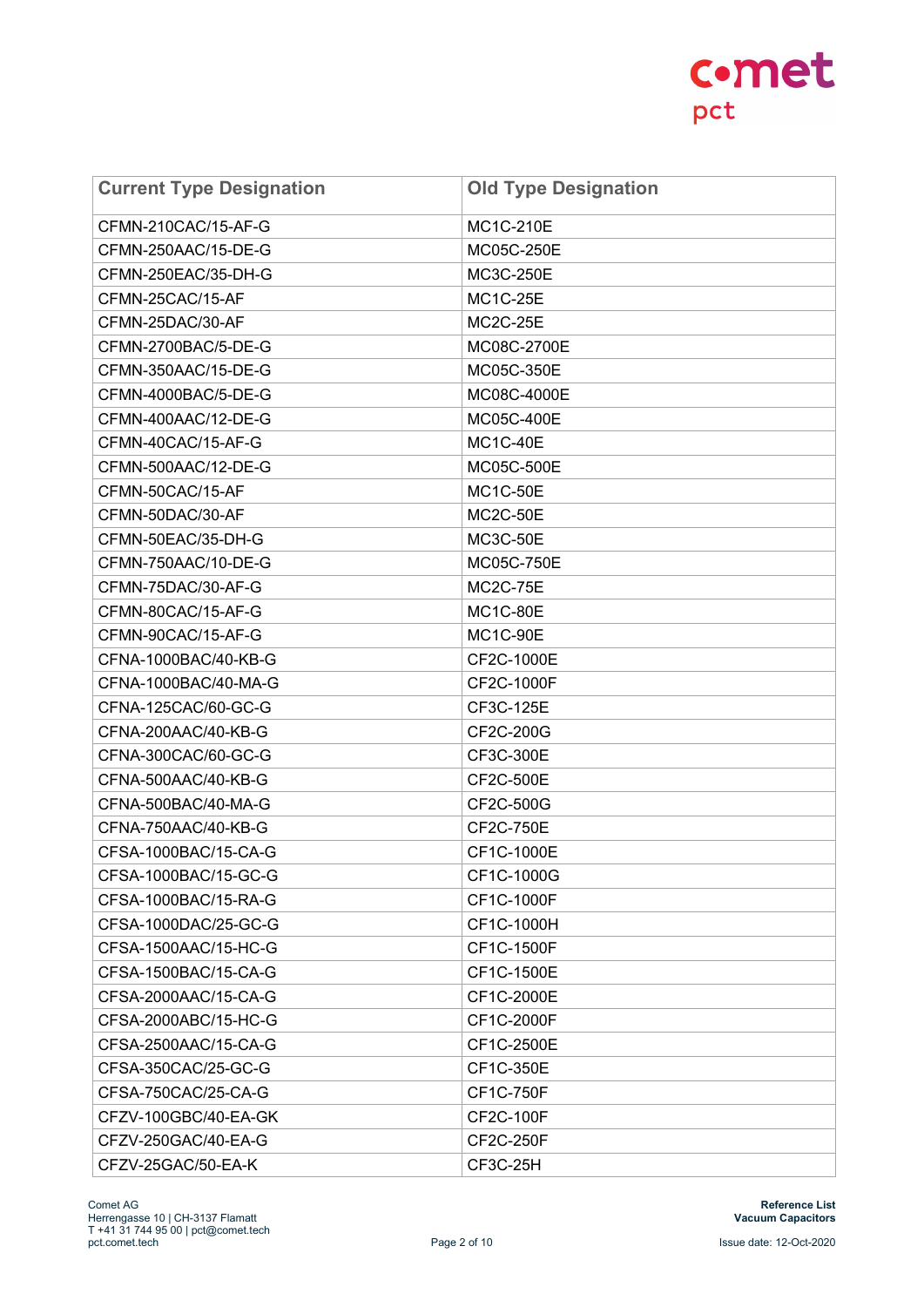| <b>Current Type Designation</b> | <b>Old Type Designation</b> |
|---------------------------------|-----------------------------|
| CFMN-210CAC/15-AF-G             | MC1C-210E                   |
| CFMN-250AAC/15-DE-G             | MC05C-250E                  |
| CFMN-250EAC/35-DH-G             | MC3C-250E                   |
| CFMN-25CAC/15-AF                | <b>MC1C-25E</b>             |
| CFMN-25DAC/30-AF                | <b>MC2C-25E</b>             |
| CFMN-2700BAC/5-DE-G             | MC08C-2700E                 |
| CFMN-350AAC/15-DE-G             | MC05C-350E                  |
| CFMN-4000BAC/5-DE-G             | MC08C-4000E                 |
| CFMN-400AAC/12-DE-G             | MC05C-400E                  |
| CFMN-40CAC/15-AF-G              | <b>MC1C-40E</b>             |
| CFMN-500AAC/12-DE-G             | MC05C-500E                  |
| CFMN-50CAC/15-AF                | <b>MC1C-50E</b>             |
| CFMN-50DAC/30-AF                | <b>MC2C-50E</b>             |
| CFMN-50EAC/35-DH-G              | <b>MC3C-50E</b>             |
| CFMN-750AAC/10-DE-G             | MC05C-750E                  |
| CFMN-75DAC/30-AF-G              | <b>MC2C-75E</b>             |
| CFMN-80CAC/15-AF-G              | <b>MC1C-80E</b>             |
| CFMN-90CAC/15-AF-G              | <b>MC1C-90E</b>             |
| CFNA-1000BAC/40-KB-G            | CF2C-1000E                  |
| CFNA-1000BAC/40-MA-G            | CF2C-1000F                  |
| CFNA-125CAC/60-GC-G             | CF3C-125E                   |
| CFNA-200AAC/40-KB-G             | CF2C-200G                   |
| CFNA-300CAC/60-GC-G             | CF3C-300E                   |
| CFNA-500AAC/40-KB-G             | CF2C-500E                   |
| CFNA-500BAC/40-MA-G             | CF2C-500G                   |
| CFNA-750AAC/40-KB-G             | CF2C-750E                   |
| CFSA-1000BAC/15-CA-G            | CF1C-1000E                  |
| CFSA-1000BAC/15-GC-G            | CF1C-1000G                  |
| CFSA-1000BAC/15-RA-G            | CF1C-1000F                  |
| CFSA-1000DAC/25-GC-G            | CF1C-1000H                  |
| CFSA-1500AAC/15-HC-G            | CF1C-1500F                  |
| CFSA-1500BAC/15-CA-G            | CF1C-1500E                  |
| CFSA-2000AAC/15-CA-G            | CF1C-2000E                  |
| CFSA-2000ABC/15-HC-G            | CF1C-2000F                  |
| CFSA-2500AAC/15-CA-G            | CF1C-2500E                  |
| CFSA-350CAC/25-GC-G             | CF1C-350E                   |
| CFSA-750CAC/25-CA-G             | CF1C-750F                   |
| CFZV-100GBC/40-EA-GK            | CF2C-100F                   |
| CFZV-250GAC/40-EA-G             | CF2C-250F                   |
| CFZV-25GAC/50-EA-K              | CF3C-25H                    |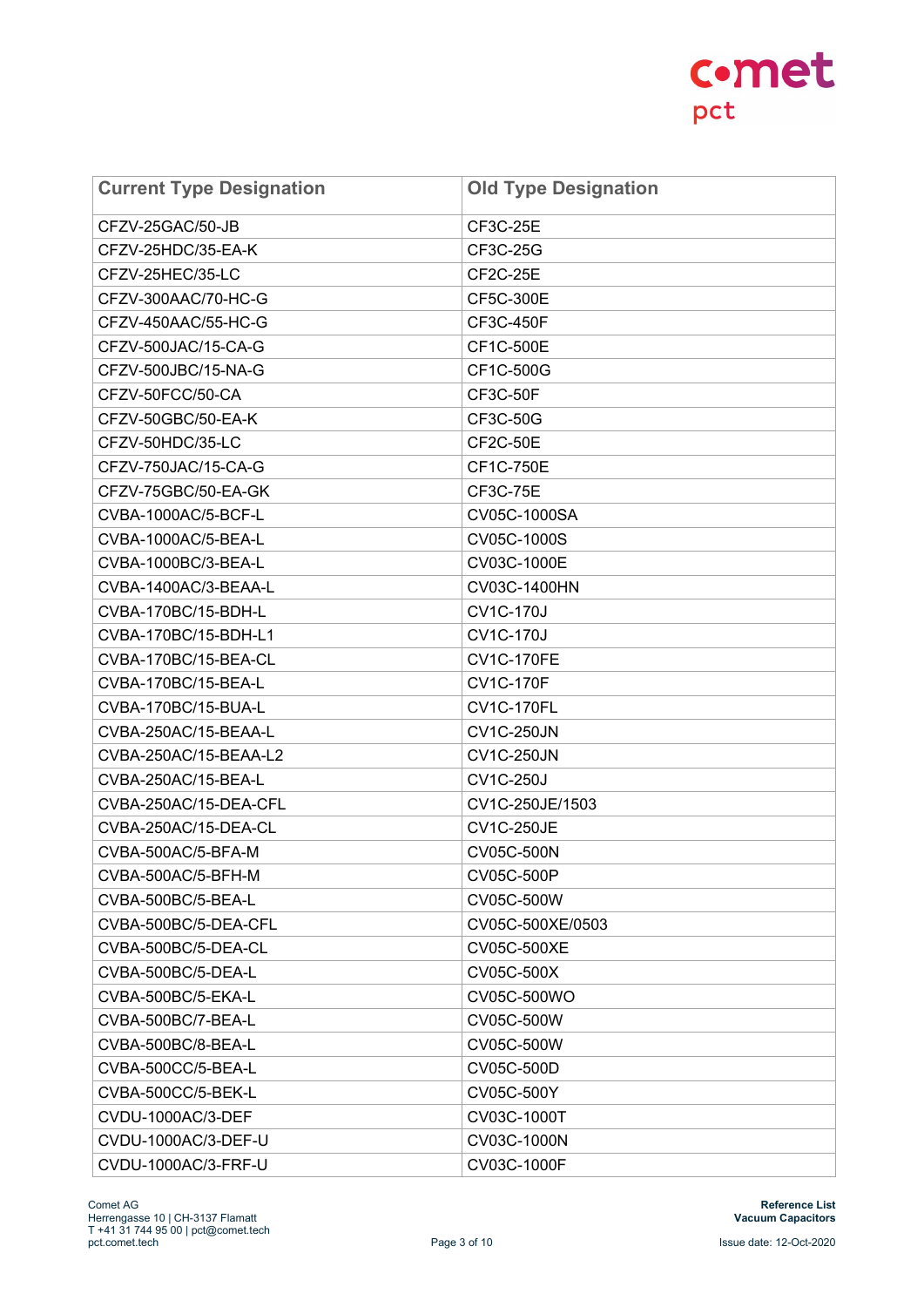| <b>Current Type Designation</b> | <b>Old Type Designation</b> |
|---------------------------------|-----------------------------|
| CFZV-25GAC/50-JB                | CF3C-25E                    |
| CFZV-25HDC/35-EA-K              | CF3C-25G                    |
| CFZV-25HEC/35-LC                | <b>CF2C-25E</b>             |
| CFZV-300AAC/70-HC-G             | CF5C-300E                   |
| CFZV-450AAC/55-HC-G             | CF3C-450F                   |
| CFZV-500JAC/15-CA-G             | CF1C-500E                   |
| CFZV-500JBC/15-NA-G             | CF1C-500G                   |
| CFZV-50FCC/50-CA                | <b>CF3C-50F</b>             |
| CFZV-50GBC/50-EA-K              | CF3C-50G                    |
| CFZV-50HDC/35-LC                | <b>CF2C-50E</b>             |
| CFZV-750JAC/15-CA-G             | CF1C-750E                   |
| CFZV-75GBC/50-EA-GK             | CF3C-75E                    |
| CVBA-1000AC/5-BCF-L             | CV05C-1000SA                |
| CVBA-1000AC/5-BEA-L             | CV05C-1000S                 |
| CVBA-1000BC/3-BEA-L             | CV03C-1000E                 |
| CVBA-1400AC/3-BEAA-L            | CV03C-1400HN                |
| CVBA-170BC/15-BDH-L             | <b>CV1C-170J</b>            |
| CVBA-170BC/15-BDH-L1            | <b>CV1C-170J</b>            |
| CVBA-170BC/15-BEA-CL            | <b>CV1C-170FE</b>           |
| CVBA-170BC/15-BEA-L             | <b>CV1C-170F</b>            |
| CVBA-170BC/15-BUA-L             | <b>CV1C-170FL</b>           |
| CVBA-250AC/15-BEAA-L            | <b>CV1C-250JN</b>           |
| CVBA-250AC/15-BEAA-L2           | <b>CV1C-250JN</b>           |
| CVBA-250AC/15-BEA-L             | <b>CV1C-250J</b>            |
| CVBA-250AC/15-DEA-CFL           | CV1C-250JE/1503             |
| CVBA-250AC/15-DEA-CL            | <b>CV1C-250JE</b>           |
| CVBA-500AC/5-BFA-M              | CV05C-500N                  |
| CVBA-500AC/5-BFH-M              | CV05C-500P                  |
| CVBA-500BC/5-BEA-L              | CV05C-500W                  |
| CVBA-500BC/5-DEA-CFL            | CV05C-500XE/0503            |
| CVBA-500BC/5-DEA-CL             | CV05C-500XE                 |
| CVBA-500BC/5-DEA-L              | CV05C-500X                  |
| CVBA-500BC/5-EKA-L              | CV05C-500WO                 |
| CVBA-500BC/7-BEA-L              | CV05C-500W                  |
| CVBA-500BC/8-BEA-L              | CV05C-500W                  |
| CVBA-500CC/5-BEA-L              | CV05C-500D                  |
| CVBA-500CC/5-BEK-L              | CV05C-500Y                  |
| CVDU-1000AC/3-DEF               | CV03C-1000T                 |
| CVDU-1000AC/3-DEF-U             | CV03C-1000N                 |
| CVDU-1000AC/3-FRF-U             | CV03C-1000F                 |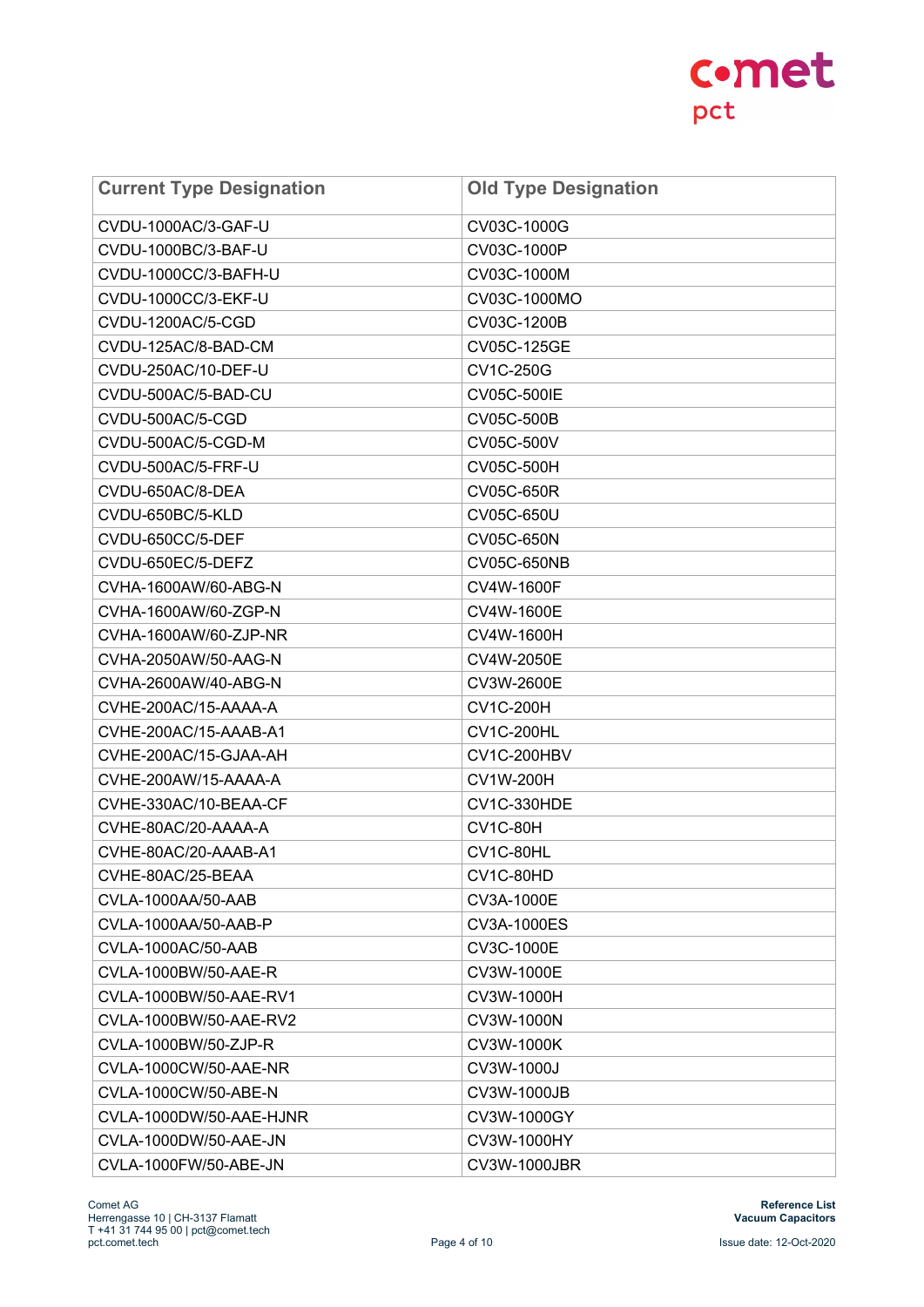| <b>Current Type Designation</b> | <b>Old Type Designation</b> |
|---------------------------------|-----------------------------|
| CVDU-1000AC/3-GAF-U             | CV03C-1000G                 |
| CVDU-1000BC/3-BAF-U             | CV03C-1000P                 |
| CVDU-1000CC/3-BAFH-U            | CV03C-1000M                 |
| CVDU-1000CC/3-EKF-U             | CV03C-1000MO                |
| CVDU-1200AC/5-CGD               | CV03C-1200B                 |
| CVDU-125AC/8-BAD-CM             | CV05C-125GE                 |
| CVDU-250AC/10-DEF-U             | CV1C-250G                   |
| CVDU-500AC/5-BAD-CU             | CV05C-500IE                 |
| CVDU-500AC/5-CGD                | CV05C-500B                  |
| CVDU-500AC/5-CGD-M              | CV05C-500V                  |
| CVDU-500AC/5-FRF-U              | CV05C-500H                  |
| CVDU-650AC/8-DEA                | CV05C-650R                  |
| CVDU-650BC/5-KLD                | CV05C-650U                  |
| CVDU-650CC/5-DEF                | CV05C-650N                  |
| CVDU-650EC/5-DEFZ               | CV05C-650NB                 |
| CVHA-1600AW/60-ABG-N            | CV4W-1600F                  |
| CVHA-1600AW/60-ZGP-N            | CV4W-1600E                  |
| CVHA-1600AW/60-ZJP-NR           | CV4W-1600H                  |
| CVHA-2050AW/50-AAG-N            | CV4W-2050E                  |
| CVHA-2600AW/40-ABG-N            | CV3W-2600E                  |
| CVHE-200AC/15-AAAA-A            | <b>CV1C-200H</b>            |
| CVHE-200AC/15-AAAB-A1           | <b>CV1C-200HL</b>           |
| CVHE-200AC/15-GJAA-AH           | CV1C-200HBV                 |
| CVHE-200AW/15-AAAA-A            | <b>CV1W-200H</b>            |
| CVHE-330AC/10-BEAA-CF           | <b>CV1C-330HDE</b>          |
| CVHE-80AC/20-AAAA-A             | <b>CV1C-80H</b>             |
| CVHE-80AC/20-AAAB-A1            | CV1C-80HL                   |
| CVHE-80AC/25-BEAA               | CV1C-80HD                   |
| CVLA-1000AA/50-AAB              | CV3A-1000E                  |
| CVLA-1000AA/50-AAB-P            | CV3A-1000ES                 |
| CVLA-1000AC/50-AAB              | CV3C-1000E                  |
| CVLA-1000BW/50-AAE-R            | CV3W-1000E                  |
| CVLA-1000BW/50-AAE-RV1          | CV3W-1000H                  |
| CVLA-1000BW/50-AAE-RV2          | CV3W-1000N                  |
| CVLA-1000BW/50-ZJP-R            | CV3W-1000K                  |
| CVLA-1000CW/50-AAE-NR           | CV3W-1000J                  |
| CVLA-1000CW/50-ABE-N            | CV3W-1000JB                 |
| CVLA-1000DW/50-AAE-HJNR         | CV3W-1000GY                 |
| CVLA-1000DW/50-AAE-JN           | CV3W-1000HY                 |
| CVLA-1000FW/50-ABE-JN           | <b>CV3W-1000JBR</b>         |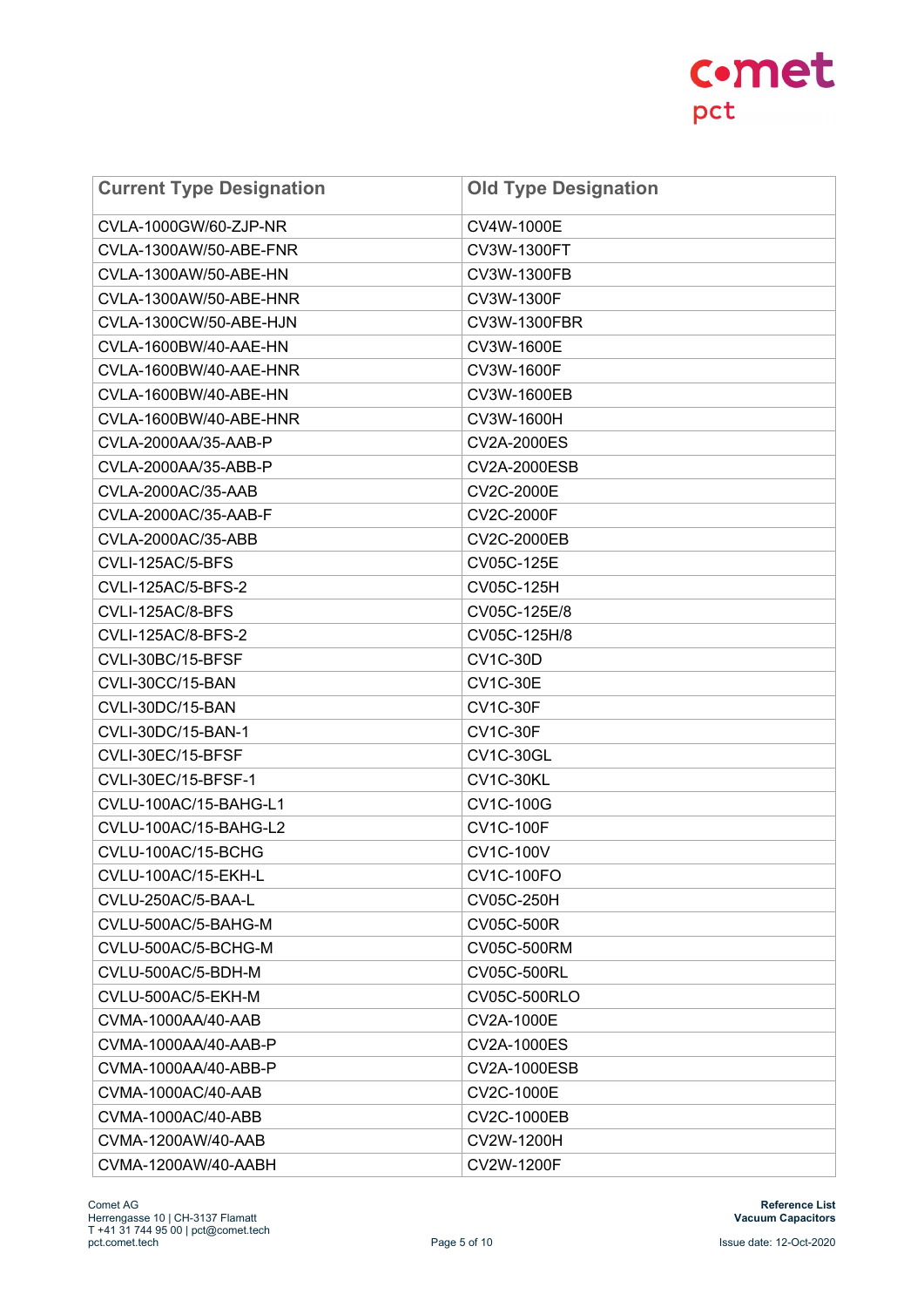| <b>Current Type Designation</b> | <b>Old Type Designation</b> |
|---------------------------------|-----------------------------|
| CVLA-1000GW/60-ZJP-NR           | CV4W-1000E                  |
| CVLA-1300AW/50-ABE-FNR          | CV3W-1300FT                 |
| CVLA-1300AW/50-ABE-HN           | CV3W-1300FB                 |
| CVLA-1300AW/50-ABE-HNR          | CV3W-1300F                  |
| CVLA-1300CW/50-ABE-HJN          | CV3W-1300FBR                |
| CVLA-1600BW/40-AAE-HN           | CV3W-1600E                  |
| CVLA-1600BW/40-AAE-HNR          | CV3W-1600F                  |
| CVLA-1600BW/40-ABE-HN           | CV3W-1600EB                 |
| CVLA-1600BW/40-ABE-HNR          | CV3W-1600H                  |
| CVLA-2000AA/35-AAB-P            | <b>CV2A-2000ES</b>          |
| CVLA-2000AA/35-ABB-P            | CV2A-2000ESB                |
| CVLA-2000AC/35-AAB              | CV2C-2000E                  |
| CVLA-2000AC/35-AAB-F            | <b>CV2C-2000F</b>           |
| CVLA-2000AC/35-ABB              | <b>CV2C-2000EB</b>          |
| CVLI-125AC/5-BFS                | CV05C-125E                  |
| <b>CVLI-125AC/5-BFS-2</b>       | CV05C-125H                  |
| CVLI-125AC/8-BFS                | CV05C-125E/8                |
| <b>CVLI-125AC/8-BFS-2</b>       | CV05C-125H/8                |
| CVLI-30BC/15-BFSF               | <b>CV1C-30D</b>             |
| CVLI-30CC/15-BAN                | <b>CV1C-30E</b>             |
| CVLI-30DC/15-BAN                | <b>CV1C-30F</b>             |
| CVLI-30DC/15-BAN-1              | <b>CV1C-30F</b>             |
| CVLI-30EC/15-BFSF               | <b>CV1C-30GL</b>            |
| CVLI-30EC/15-BFSF-1             | CV1C-30KL                   |
| CVLU-100AC/15-BAHG-L1           | CV1C-100G                   |
| CVLU-100AC/15-BAHG-L2           | <b>CV1C-100F</b>            |
| CVLU-100AC/15-BCHG              | <b>CV1C-100V</b>            |
| CVLU-100AC/15-EKH-L             | <b>CV1C-100FO</b>           |
| CVLU-250AC/5-BAA-L              | CV05C-250H                  |
| CVLU-500AC/5-BAHG-M             | CV05C-500R                  |
| CVLU-500AC/5-BCHG-M             | CV05C-500RM                 |
| CVLU-500AC/5-BDH-M              | CV05C-500RL                 |
| CVLU-500AC/5-EKH-M              | CV05C-500RLO                |
| CVMA-1000AA/40-AAB              | CV2A-1000E                  |
| CVMA-1000AA/40-AAB-P            | <b>CV2A-1000ES</b>          |
| CVMA-1000AA/40-ABB-P            | CV2A-1000ESB                |
| CVMA-1000AC/40-AAB              | CV2C-1000E                  |
| CVMA-1000AC/40-ABB              | CV2C-1000EB                 |
| CVMA-1200AW/40-AAB              | CV2W-1200H                  |
| CVMA-1200AW/40-AABH             | CV2W-1200F                  |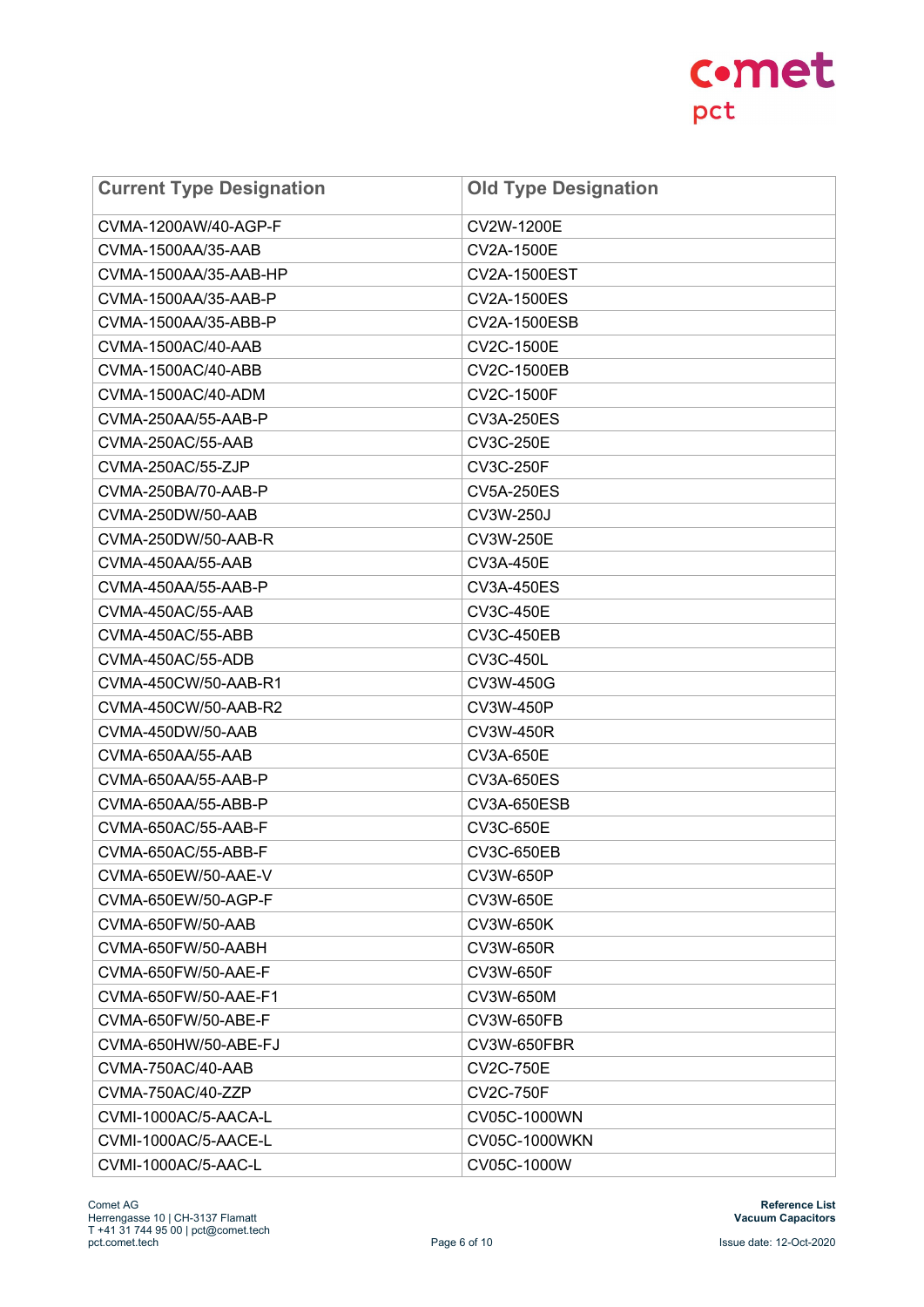| <b>Current Type Designation</b> | <b>Old Type Designation</b> |
|---------------------------------|-----------------------------|
| CVMA-1200AW/40-AGP-F            | CV2W-1200E                  |
| CVMA-1500AA/35-AAB              | CV2A-1500E                  |
| CVMA-1500AA/35-AAB-HP           | <b>CV2A-1500EST</b>         |
| CVMA-1500AA/35-AAB-P            | CV2A-1500ES                 |
| CVMA-1500AA/35-ABB-P            | CV2A-1500ESB                |
| CVMA-1500AC/40-AAB              | CV2C-1500E                  |
| CVMA-1500AC/40-ABB              | <b>CV2C-1500EB</b>          |
| CVMA-1500AC/40-ADM              | <b>CV2C-1500F</b>           |
| CVMA-250AA/55-AAB-P             | <b>CV3A-250ES</b>           |
| CVMA-250AC/55-AAB               | <b>CV3C-250E</b>            |
| CVMA-250AC/55-ZJP               | <b>CV3C-250F</b>            |
| CVMA-250BA/70-AAB-P             | <b>CV5A-250ES</b>           |
| CVMA-250DW/50-AAB               | CV3W-250J                   |
| CVMA-250DW/50-AAB-R             | CV3W-250E                   |
| CVMA-450AA/55-AAB               | <b>CV3A-450E</b>            |
| CVMA-450AA/55-AAB-P             | <b>CV3A-450ES</b>           |
| CVMA-450AC/55-AAB               | <b>CV3C-450E</b>            |
| CVMA-450AC/55-ABB               | <b>CV3C-450EB</b>           |
| CVMA-450AC/55-ADB               | <b>CV3C-450L</b>            |
| CVMA-450CW/50-AAB-R1            | CV3W-450G                   |
| CVMA-450CW/50-AAB-R2            | CV3W-450P                   |
| CVMA-450DW/50-AAB               | CV3W-450R                   |
| CVMA-650AA/55-AAB               | CV3A-650E                   |
| CVMA-650AA/55-AAB-P             | CV3A-650ES                  |
| CVMA-650AA/55-ABB-P             | <b>CV3A-650ESB</b>          |
| CVMA-650AC/55-AAB-F             | CV3C-650E                   |
| CVMA-650AC/55-ABB-F             | <b>CV3C-650EB</b>           |
| CVMA-650EW/50-AAE-V             | CV3W-650P                   |
| CVMA-650EW/50-AGP-F             | CV3W-650E                   |
| CVMA-650FW/50-AAB               | CV3W-650K                   |
| CVMA-650FW/50-AABH              | CV3W-650R                   |
| CVMA-650FW/50-AAE-F             | CV3W-650F                   |
| CVMA-650FW/50-AAE-F1            | CV3W-650M                   |
| CVMA-650FW/50-ABE-F             | CV3W-650FB                  |
| CVMA-650HW/50-ABE-FJ            | <b>CV3W-650FBR</b>          |
| CVMA-750AC/40-AAB               | <b>CV2C-750E</b>            |
| CVMA-750AC/40-ZZP               | <b>CV2C-750F</b>            |
| CVMI-1000AC/5-AACA-L            | CV05C-1000WN                |
| CVMI-1000AC/5-AACE-L            | CV05C-1000WKN               |
| CVMI-1000AC/5-AAC-L             | CV05C-1000W                 |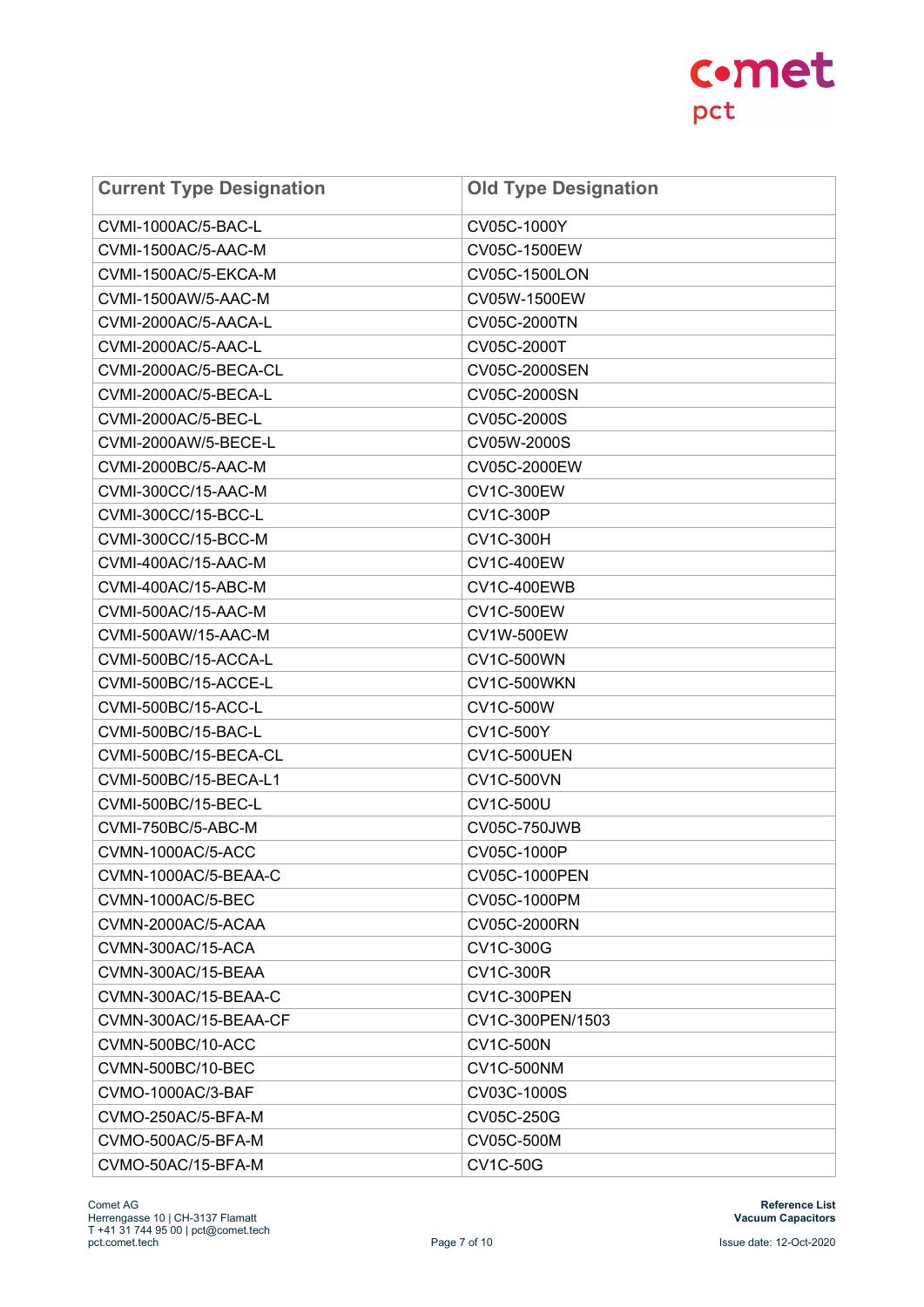| <b>Current Type Designation</b> | <b>Old Type Designation</b> |
|---------------------------------|-----------------------------|
| CVMI-1000AC/5-BAC-L             | CV05C-1000Y                 |
| CVMI-1500AC/5-AAC-M             | CV05C-1500EW                |
| CVMI-1500AC/5-EKCA-M            | CV05C-1500LON               |
| CVMI-1500AW/5-AAC-M             | CV05W-1500EW                |
| CVMI-2000AC/5-AACA-L            | CV05C-2000TN                |
| <b>CVMI-2000AC/5-AAC-L</b>      | CV05C-2000T                 |
| CVMI-2000AC/5-BECA-CL           | CV05C-2000SEN               |
| CVMI-2000AC/5-BECA-L            | CV05C-2000SN                |
| CVMI-2000AC/5-BEC-L             | CV05C-2000S                 |
| CVMI-2000AW/5-BECE-L            | CV05W-2000S                 |
| CVMI-2000BC/5-AAC-M             | CV05C-2000EW                |
| CVMI-300CC/15-AAC-M             | <b>CV1C-300EW</b>           |
| CVMI-300CC/15-BCC-L             | <b>CV1C-300P</b>            |
| CVMI-300CC/15-BCC-M             | <b>CV1C-300H</b>            |
| CVMI-400AC/15-AAC-M             | <b>CV1C-400EW</b>           |
| CVMI-400AC/15-ABC-M             | CV1C-400EWB                 |
| CVMI-500AC/15-AAC-M             | <b>CV1C-500EW</b>           |
| CVMI-500AW/15-AAC-M             | CV1W-500EW                  |
| CVMI-500BC/15-ACCA-L            | <b>CV1C-500WN</b>           |
| CVMI-500BC/15-ACCE-L            | CV1C-500WKN                 |
| CVMI-500BC/15-ACC-L             | CV1C-500W                   |
| CVMI-500BC/15-BAC-L             | <b>CV1C-500Y</b>            |
| CVMI-500BC/15-BECA-CL           | CV1C-500UEN                 |
| CVMI-500BC/15-BECA-L1           | <b>CV1C-500VN</b>           |
| <b>CVMI-500BC/15-BEC-L</b>      | <b>CV1C-500U</b>            |
| CVMI-750BC/5-ABC-M              | <b>CV05C-750JWB</b>         |
| CVMN-1000AC/5-ACC               | CV05C-1000P                 |
| CVMN-1000AC/5-BEAA-C            | CV05C-1000PEN               |
| CVMN-1000AC/5-BEC               | CV05C-1000PM                |
| CVMN-2000AC/5-ACAA              | CV05C-2000RN                |
| CVMN-300AC/15-ACA               | CV1C-300G                   |
| CVMN-300AC/15-BEAA              | <b>CV1C-300R</b>            |
| CVMN-300AC/15-BEAA-C            | CV1C-300PEN                 |
| CVMN-300AC/15-BEAA-CF           | CV1C-300PEN/1503            |
| CVMN-500BC/10-ACC               | <b>CV1C-500N</b>            |
| CVMN-500BC/10-BEC               | <b>CV1C-500NM</b>           |
| CVMO-1000AC/3-BAF               | CV03C-1000S                 |
| CVMO-250AC/5-BFA-M              | CV05C-250G                  |
| CVMO-500AC/5-BFA-M              | CV05C-500M                  |
| CVMO-50AC/15-BFA-M              | <b>CV1C-50G</b>             |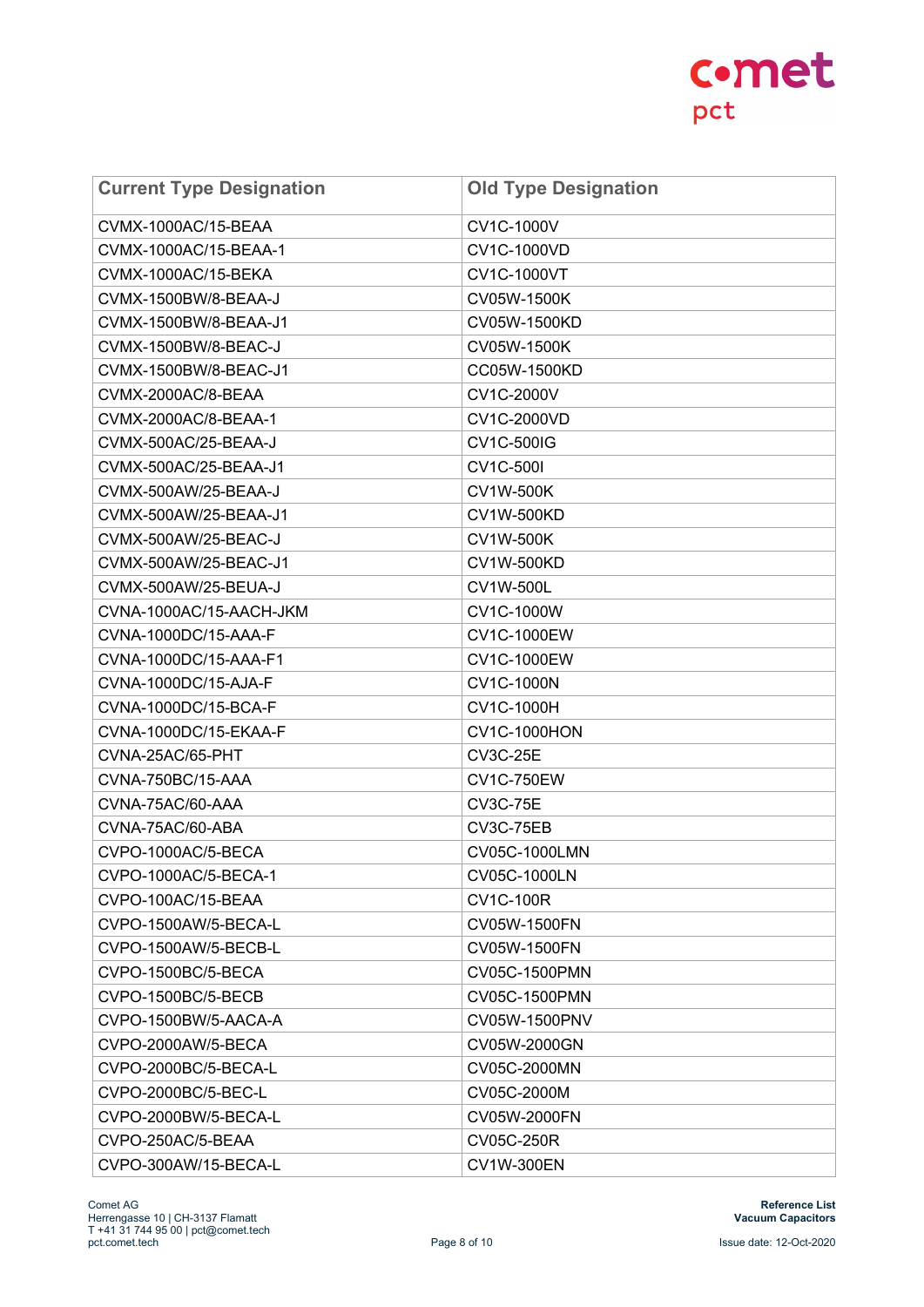| <b>Current Type Designation</b> | <b>Old Type Designation</b> |
|---------------------------------|-----------------------------|
| CVMX-1000AC/15-BEAA             | CV1C-1000V                  |
| CVMX-1000AC/15-BEAA-1           | CV1C-1000VD                 |
| CVMX-1000AC/15-BEKA             | CV1C-1000VT                 |
| CVMX-1500BW/8-BEAA-J            | CV05W-1500K                 |
| CVMX-1500BW/8-BEAA-J1           | CV05W-1500KD                |
| CVMX-1500BW/8-BEAC-J            | CV05W-1500K                 |
| CVMX-1500BW/8-BEAC-J1           | CC05W-1500KD                |
| CVMX-2000AC/8-BEAA              | CV1C-2000V                  |
| CVMX-2000AC/8-BEAA-1            | CV1C-2000VD                 |
| CVMX-500AC/25-BEAA-J            | <b>CV1C-500IG</b>           |
| CVMX-500AC/25-BEAA-J1           | <b>CV1C-500I</b>            |
| CVMX-500AW/25-BEAA-J            | <b>CV1W-500K</b>            |
| CVMX-500AW/25-BEAA-J1           | <b>CV1W-500KD</b>           |
| CVMX-500AW/25-BEAC-J            | <b>CV1W-500K</b>            |
| CVMX-500AW/25-BEAC-J1           | <b>CV1W-500KD</b>           |
| CVMX-500AW/25-BEUA-J            | CV1W-500L                   |
| CVNA-1000AC/15-AACH-JKM         | CV1C-1000W                  |
| CVNA-1000DC/15-AAA-F            | CV1C-1000EW                 |
| CVNA-1000DC/15-AAA-F1           | CV1C-1000EW                 |
| CVNA-1000DC/15-AJA-F            | CV1C-1000N                  |
| CVNA-1000DC/15-BCA-F            | CV1C-1000H                  |
| CVNA-1000DC/15-EKAA-F           | <b>CV1C-1000HON</b>         |
| CVNA-25AC/65-PHT                | <b>CV3C-25E</b>             |
| CVNA-750BC/15-AAA               | <b>CV1C-750EW</b>           |
| CVNA-75AC/60-AAA                | <b>CV3C-75E</b>             |
| CVNA-75AC/60-ABA                | <b>CV3C-75EB</b>            |
| CVPO-1000AC/5-BECA              | CV05C-1000LMN               |
| CVPO-1000AC/5-BECA-1            | CV05C-1000LN                |
| CVPO-100AC/15-BEAA              | <b>CV1C-100R</b>            |
| CVPO-1500AW/5-BECA-L            | CV05W-1500FN                |
| CVPO-1500AW/5-BECB-L            | CV05W-1500FN                |
| CVPO-1500BC/5-BECA              | CV05C-1500PMN               |
| CVPO-1500BC/5-BECB              | CV05C-1500PMN               |
| CVPO-1500BW/5-AACA-A            | CV05W-1500PNV               |
| CVPO-2000AW/5-BECA              | CV05W-2000GN                |
| CVPO-2000BC/5-BECA-L            | CV05C-2000MN                |
| CVPO-2000BC/5-BEC-L             | CV05C-2000M                 |
| CVPO-2000BW/5-BECA-L            | CV05W-2000FN                |
| CVPO-250AC/5-BEAA               | CV05C-250R                  |
| CVPO-300AW/15-BECA-L            | <b>CV1W-300EN</b>           |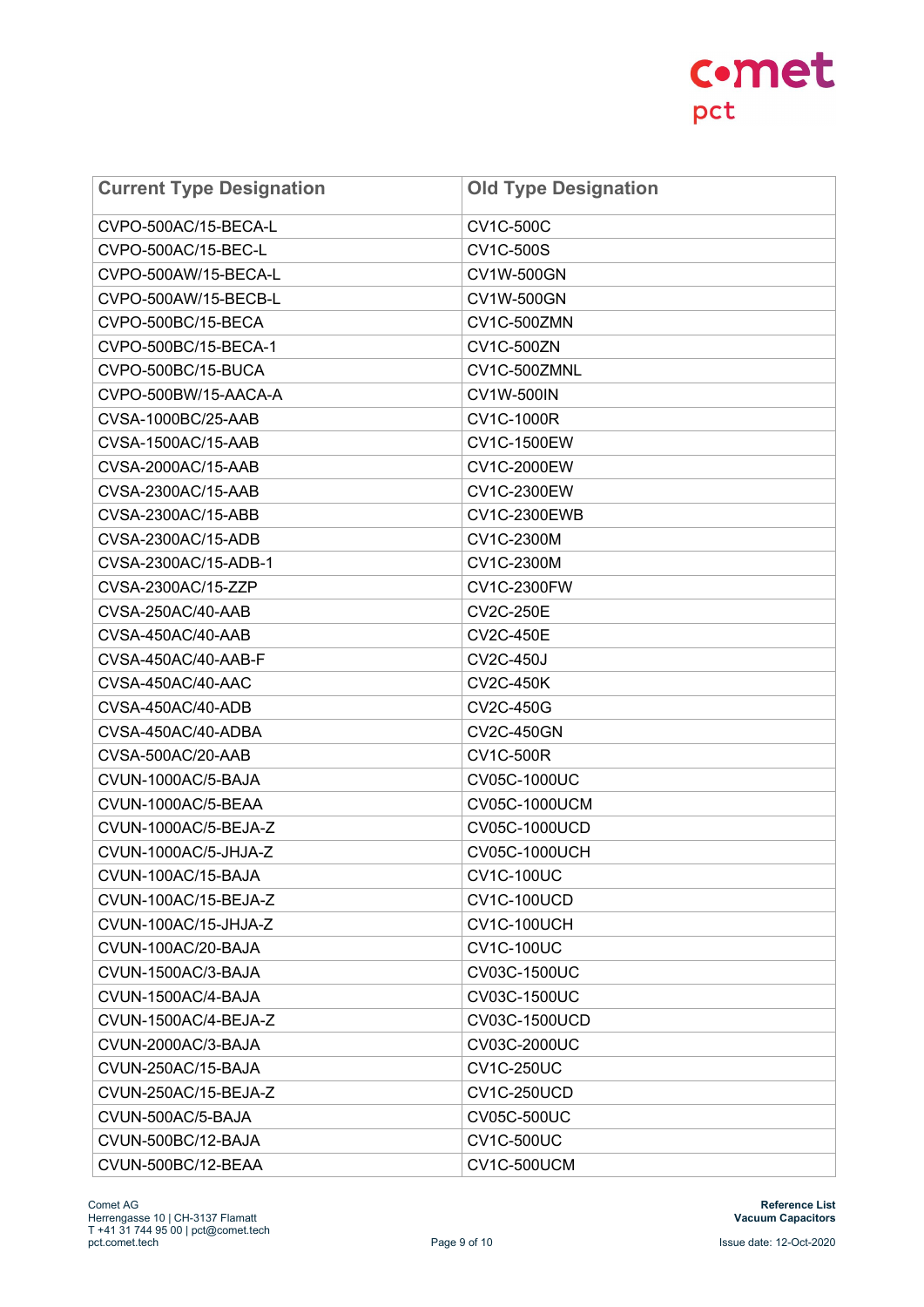| <b>Current Type Designation</b> | <b>Old Type Designation</b> |
|---------------------------------|-----------------------------|
| CVPO-500AC/15-BECA-L            | <b>CV1C-500C</b>            |
| CVPO-500AC/15-BEC-L             | CV1C-500S                   |
| CVPO-500AW/15-BECA-L            | <b>CV1W-500GN</b>           |
| CVPO-500AW/15-BECB-L            | CV1W-500GN                  |
| CVPO-500BC/15-BECA              | CV1C-500ZMN                 |
| CVPO-500BC/15-BECA-1            | <b>CV1C-500ZN</b>           |
| CVPO-500BC/15-BUCA              | CV1C-500ZMNL                |
| CVPO-500BW/15-AACA-A            | <b>CV1W-500IN</b>           |
| CVSA-1000BC/25-AAB              | CV1C-1000R                  |
| CVSA-1500AC/15-AAB              | CV1C-1500EW                 |
| CVSA-2000AC/15-AAB              | CV1C-2000EW                 |
| CVSA-2300AC/15-AAB              | CV1C-2300EW                 |
| CVSA-2300AC/15-ABB              | <b>CV1C-2300EWB</b>         |
| CVSA-2300AC/15-ADB              | CV1C-2300M                  |
| CVSA-2300AC/15-ADB-1            | CV1C-2300M                  |
| CVSA-2300AC/15-ZZP              | CV1C-2300FW                 |
| CVSA-250AC/40-AAB               | <b>CV2C-250E</b>            |
| CVSA-450AC/40-AAB               | <b>CV2C-450E</b>            |
| CVSA-450AC/40-AAB-F             | <b>CV2C-450J</b>            |
| CVSA-450AC/40-AAC               | <b>CV2C-450K</b>            |
| CVSA-450AC/40-ADB               | <b>CV2C-450G</b>            |
| CVSA-450AC/40-ADBA              | <b>CV2C-450GN</b>           |
| CVSA-500AC/20-AAB               | <b>CV1C-500R</b>            |
| CVUN-1000AC/5-BAJA              | CV05C-1000UC                |
| CVUN-1000AC/5-BEAA              | CV05C-1000UCM               |
| CVUN-1000AC/5-BEJA-Z            | CV05C-1000UCD               |
| CVUN-1000AC/5-JHJA-Z            | <b>CV05C-1000UCH</b>        |
| CVUN-100AC/15-BAJA              | <b>CV1C-100UC</b>           |
| CVUN-100AC/15-BEJA-Z            | CV1C-100UCD                 |
| CVUN-100AC/15-JHJA-Z            | CV1C-100UCH                 |
| CVUN-100AC/20-BAJA              | <b>CV1C-100UC</b>           |
| CVUN-1500AC/3-BAJA              | CV03C-1500UC                |
| CVUN-1500AC/4-BAJA              | CV03C-1500UC                |
| CVUN-1500AC/4-BEJA-Z            | CV03C-1500UCD               |
| CVUN-2000AC/3-BAJA              | CV03C-2000UC                |
| CVUN-250AC/15-BAJA              | <b>CV1C-250UC</b>           |
| CVUN-250AC/15-BEJA-Z            | CV1C-250UCD                 |
| CVUN-500AC/5-BAJA               | <b>CV05C-500UC</b>          |
| CVUN-500BC/12-BAJA              | <b>CV1C-500UC</b>           |
| CVUN-500BC/12-BEAA              | CV1C-500UCM                 |